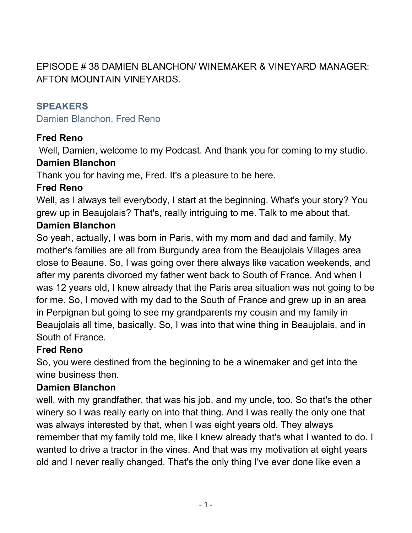EPISODE # 38 DAMIEN BLANCHON/ WINEMAKER & VINEYARD MANAGER: AFTON MOUNTAIN VINEYARDS.

#### **SPEAKERS**

Damien Blanchon, Fred Reno

# **Fred Reno**

Well, Damien, welcome to my Podcast. And thank you for coming to my studio.

#### **Damien Blanchon**

Thank you for having me, Fred. It's a pleasure to be here.

#### **Fred Reno**

Well, as I always tell everybody, I start at the beginning. What's your story? You grew up in Beaujolais? That's, really intriguing to me. Talk to me about that.

#### **Damien Blanchon**

So yeah, actually, I was born in Paris, with my mom and dad and family. My mother's families are all from Burgundy area from the Beaujolais Villages area close to Beaune. So, I was going over there always like vacation weekends, and after my parents divorced my father went back to South of France. And when I was 12 years old, I knew already that the Paris area situation was not going to be for me. So, I moved with my dad to the South of France and grew up in an area in Perpignan but going to see my grandparents my cousin and my family in Beaujolais all time, basically. So, I was into that wine thing in Beaujolais, and in South of France.

#### **Fred Reno**

So, you were destined from the beginning to be a winemaker and get into the wine business then.

#### **Damien Blanchon**

well, with my grandfather, that was his job, and my uncle, too. So that's the other winery so I was really early on into that thing. And I was really the only one that was always interested by that, when I was eight years old. They always remember that my family told me, like I knew already that's what I wanted to do. I wanted to drive a tractor in the vines. And that was my motivation at eight years old and I never really changed. That's the only thing I've ever done like even a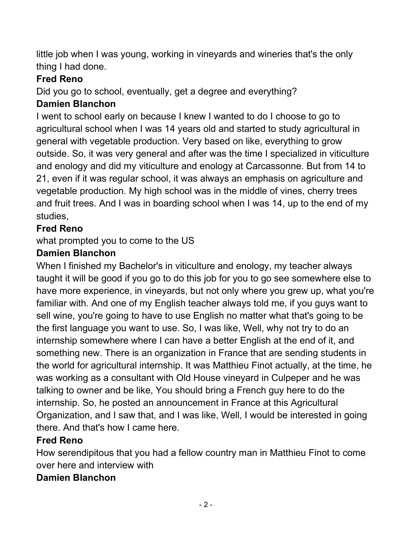little job when I was young, working in vineyards and wineries that's the only thing I had done.

#### **Fred Reno**

Did you go to school, eventually, get a degree and everything?

# **Damien Blanchon**

I went to school early on because I knew I wanted to do I choose to go to agricultural school when I was 14 years old and started to study agricultural in general with vegetable production. Very based on like, everything to grow outside. So, it was very general and after was the time I specialized in viticulture and enology and did my viticulture and enology at Carcassonne. But from 14 to 21, even if it was regular school, it was always an emphasis on agriculture and vegetable production. My high school was in the middle of vines, cherry trees and fruit trees. And I was in boarding school when I was 14, up to the end of my studies,

# **Fred Reno**

what prompted you to come to the US

# **Damien Blanchon**

When I finished my Bachelor's in viticulture and enology, my teacher always taught it will be good if you go to do this job for you to go see somewhere else to have more experience, in vineyards, but not only where you grew up, what you're familiar with. And one of my English teacher always told me, if you guys want to sell wine, you're going to have to use English no matter what that's going to be the first language you want to use. So, I was like, Well, why not try to do an internship somewhere where I can have a better English at the end of it, and something new. There is an organization in France that are sending students in the world for agricultural internship. It was Matthieu Finot actually, at the time, he was working as a consultant with Old House vineyard in Culpeper and he was talking to owner and be like, You should bring a French guy here to do the internship. So, he posted an announcement in France at this Agricultural Organization, and I saw that, and I was like, Well, I would be interested in going there. And that's how I came here.

# **Fred Reno**

How serendipitous that you had a fellow country man in Matthieu Finot to come over here and interview with

#### **Damien Blanchon**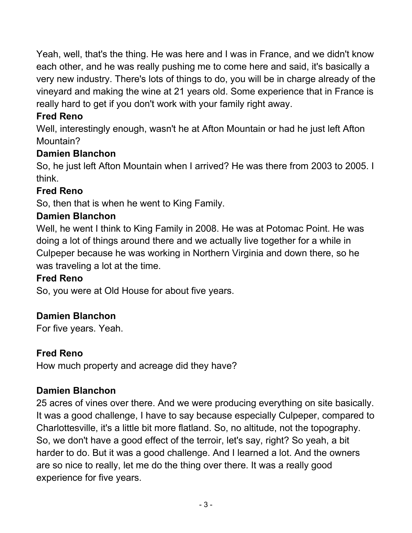Yeah, well, that's the thing. He was here and I was in France, and we didn't know each other, and he was really pushing me to come here and said, it's basically a very new industry. There's lots of things to do, you will be in charge already of the vineyard and making the wine at 21 years old. Some experience that in France is really hard to get if you don't work with your family right away.

# **Fred Reno**

Well, interestingly enough, wasn't he at Afton Mountain or had he just left Afton Mountain?

# **Damien Blanchon**

So, he just left Afton Mountain when I arrived? He was there from 2003 to 2005. I think.

# **Fred Reno**

So, then that is when he went to King Family.

# **Damien Blanchon**

Well, he went I think to King Family in 2008. He was at Potomac Point. He was doing a lot of things around there and we actually live together for a while in Culpeper because he was working in Northern Virginia and down there, so he was traveling a lot at the time.

# **Fred Reno**

So, you were at Old House for about five years.

# **Damien Blanchon**

For five years. Yeah.

# **Fred Reno**

How much property and acreage did they have?

# **Damien Blanchon**

25 acres of vines over there. And we were producing everything on site basically. It was a good challenge, I have to say because especially Culpeper, compared to Charlottesville, it's a little bit more flatland. So, no altitude, not the topography. So, we don't have a good effect of the terroir, let's say, right? So yeah, a bit harder to do. But it was a good challenge. And I learned a lot. And the owners are so nice to really, let me do the thing over there. It was a really good experience for five years.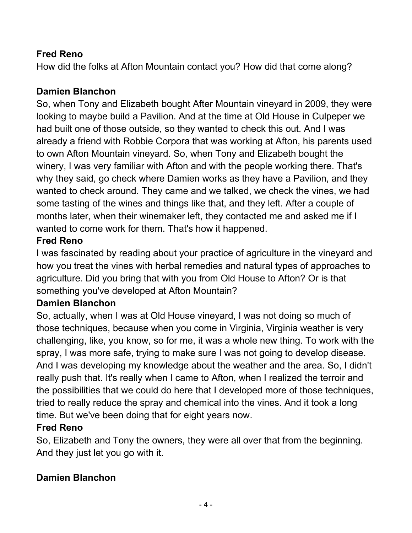# **Fred Reno**

How did the folks at Afton Mountain contact you? How did that come along?

# **Damien Blanchon**

So, when Tony and Elizabeth bought After Mountain vineyard in 2009, they were looking to maybe build a Pavilion. And at the time at Old House in Culpeper we had built one of those outside, so they wanted to check this out. And I was already a friend with Robbie Corpora that was working at Afton, his parents used to own Afton Mountain vineyard. So, when Tony and Elizabeth bought the winery, I was very familiar with Afton and with the people working there. That's why they said, go check where Damien works as they have a Pavilion, and they wanted to check around. They came and we talked, we check the vines, we had some tasting of the wines and things like that, and they left. After a couple of months later, when their winemaker left, they contacted me and asked me if I wanted to come work for them. That's how it happened.

# **Fred Reno**

I was fascinated by reading about your practice of agriculture in the vineyard and how you treat the vines with herbal remedies and natural types of approaches to agriculture. Did you bring that with you from Old House to Afton? Or is that something you've developed at Afton Mountain?

# **Damien Blanchon**

So, actually, when I was at Old House vineyard, I was not doing so much of those techniques, because when you come in Virginia, Virginia weather is very challenging, like, you know, so for me, it was a whole new thing. To work with the spray, I was more safe, trying to make sure I was not going to develop disease. And I was developing my knowledge about the weather and the area. So, I didn't really push that. It's really when I came to Afton, when I realized the terroir and the possibilities that we could do here that I developed more of those techniques, tried to really reduce the spray and chemical into the vines. And it took a long time. But we've been doing that for eight years now.

# **Fred Reno**

So, Elizabeth and Tony the owners, they were all over that from the beginning. And they just let you go with it.

# **Damien Blanchon**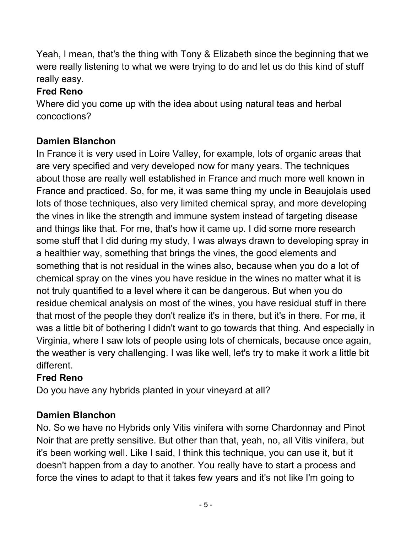Yeah, I mean, that's the thing with Tony & Elizabeth since the beginning that we were really listening to what we were trying to do and let us do this kind of stuff really easy.

# **Fred Reno**

Where did you come up with the idea about using natural teas and herbal concoctions?

# **Damien Blanchon**

In France it is very used in Loire Valley, for example, lots of organic areas that are very specified and very developed now for many years. The techniques about those are really well established in France and much more well known in France and practiced. So, for me, it was same thing my uncle in Beaujolais used lots of those techniques, also very limited chemical spray, and more developing the vines in like the strength and immune system instead of targeting disease and things like that. For me, that's how it came up. I did some more research some stuff that I did during my study, I was always drawn to developing spray in a healthier way, something that brings the vines, the good elements and something that is not residual in the wines also, because when you do a lot of chemical spray on the vines you have residue in the wines no matter what it is not truly quantified to a level where it can be dangerous. But when you do residue chemical analysis on most of the wines, you have residual stuff in there that most of the people they don't realize it's in there, but it's in there. For me, it was a little bit of bothering I didn't want to go towards that thing. And especially in Virginia, where I saw lots of people using lots of chemicals, because once again, the weather is very challenging. I was like well, let's try to make it work a little bit different.

# **Fred Reno**

Do you have any hybrids planted in your vineyard at all?

# **Damien Blanchon**

No. So we have no Hybrids only Vitis vinifera with some Chardonnay and Pinot Noir that are pretty sensitive. But other than that, yeah, no, all Vitis vinifera, but it's been working well. Like I said, I think this technique, you can use it, but it doesn't happen from a day to another. You really have to start a process and force the vines to adapt to that it takes few years and it's not like I'm going to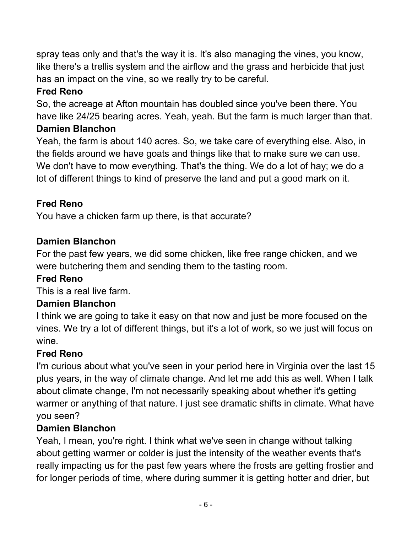spray teas only and that's the way it is. It's also managing the vines, you know, like there's a trellis system and the airflow and the grass and herbicide that just has an impact on the vine, so we really try to be careful.

# **Fred Reno**

So, the acreage at Afton mountain has doubled since you've been there. You have like 24/25 bearing acres. Yeah, yeah. But the farm is much larger than that.

# **Damien Blanchon**

Yeah, the farm is about 140 acres. So, we take care of everything else. Also, in the fields around we have goats and things like that to make sure we can use. We don't have to mow everything. That's the thing. We do a lot of hay; we do a lot of different things to kind of preserve the land and put a good mark on it.

# **Fred Reno**

You have a chicken farm up there, is that accurate?

# **Damien Blanchon**

For the past few years, we did some chicken, like free range chicken, and we were butchering them and sending them to the tasting room.

# **Fred Reno**

This is a real live farm.

# **Damien Blanchon**

I think we are going to take it easy on that now and just be more focused on the vines. We try a lot of different things, but it's a lot of work, so we just will focus on wine.

# **Fred Reno**

I'm curious about what you've seen in your period here in Virginia over the last 15 plus years, in the way of climate change. And let me add this as well. When I talk about climate change, I'm not necessarily speaking about whether it's getting warmer or anything of that nature. I just see dramatic shifts in climate. What have you seen?

# **Damien Blanchon**

Yeah, I mean, you're right. I think what we've seen in change without talking about getting warmer or colder is just the intensity of the weather events that's really impacting us for the past few years where the frosts are getting frostier and for longer periods of time, where during summer it is getting hotter and drier, but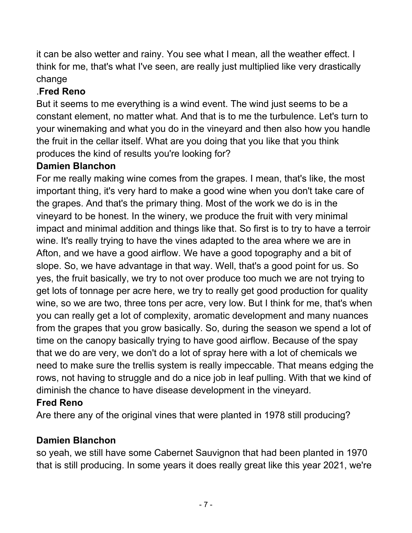it can be also wetter and rainy. You see what I mean, all the weather effect. I think for me, that's what I've seen, are really just multiplied like very drastically change

# .**Fred Reno**

But it seems to me everything is a wind event. The wind just seems to be a constant element, no matter what. And that is to me the turbulence. Let's turn to your winemaking and what you do in the vineyard and then also how you handle the fruit in the cellar itself. What are you doing that you like that you think produces the kind of results you're looking for?

# **Damien Blanchon**

For me really making wine comes from the grapes. I mean, that's like, the most important thing, it's very hard to make a good wine when you don't take care of the grapes. And that's the primary thing. Most of the work we do is in the vineyard to be honest. In the winery, we produce the fruit with very minimal impact and minimal addition and things like that. So first is to try to have a terroir wine. It's really trying to have the vines adapted to the area where we are in Afton, and we have a good airflow. We have a good topography and a bit of slope. So, we have advantage in that way. Well, that's a good point for us. So yes, the fruit basically, we try to not over produce too much we are not trying to get lots of tonnage per acre here, we try to really get good production for quality wine, so we are two, three tons per acre, very low. But I think for me, that's when you can really get a lot of complexity, aromatic development and many nuances from the grapes that you grow basically. So, during the season we spend a lot of time on the canopy basically trying to have good airflow. Because of the spay that we do are very, we don't do a lot of spray here with a lot of chemicals we need to make sure the trellis system is really impeccable. That means edging the rows, not having to struggle and do a nice job in leaf pulling. With that we kind of diminish the chance to have disease development in the vineyard.

# **Fred Reno**

Are there any of the original vines that were planted in 1978 still producing?

# **Damien Blanchon**

so yeah, we still have some Cabernet Sauvignon that had been planted in 1970 that is still producing. In some years it does really great like this year 2021, we're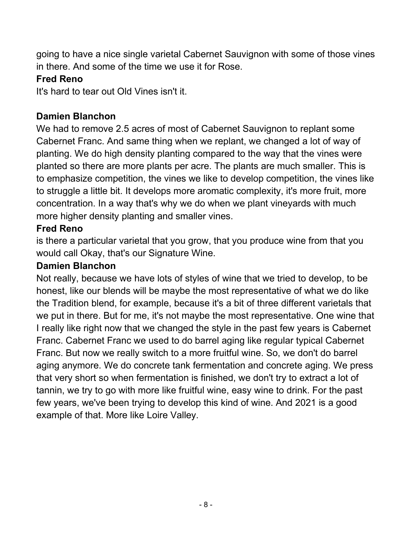going to have a nice single varietal Cabernet Sauvignon with some of those vines in there. And some of the time we use it for Rose.

#### **Fred Reno**

It's hard to tear out Old Vines isn't it.

#### **Damien Blanchon**

We had to remove 2.5 acres of most of Cabernet Sauvignon to replant some Cabernet Franc. And same thing when we replant, we changed a lot of way of planting. We do high density planting compared to the way that the vines were planted so there are more plants per acre. The plants are much smaller. This is to emphasize competition, the vines we like to develop competition, the vines like to struggle a little bit. It develops more aromatic complexity, it's more fruit, more concentration. In a way that's why we do when we plant vineyards with much more higher density planting and smaller vines.

#### **Fred Reno**

is there a particular varietal that you grow, that you produce wine from that you would call Okay, that's our Signature Wine.

#### **Damien Blanchon**

Not really, because we have lots of styles of wine that we tried to develop, to be honest, like our blends will be maybe the most representative of what we do like the Tradition blend, for example, because it's a bit of three different varietals that we put in there. But for me, it's not maybe the most representative. One wine that I really like right now that we changed the style in the past few years is Cabernet Franc. Cabernet Franc we used to do barrel aging like regular typical Cabernet Franc. But now we really switch to a more fruitful wine. So, we don't do barrel aging anymore. We do concrete tank fermentation and concrete aging. We press that very short so when fermentation is finished, we don't try to extract a lot of tannin, we try to go with more like fruitful wine, easy wine to drink. For the past few years, we've been trying to develop this kind of wine. And 2021 is a good example of that. More like Loire Valley.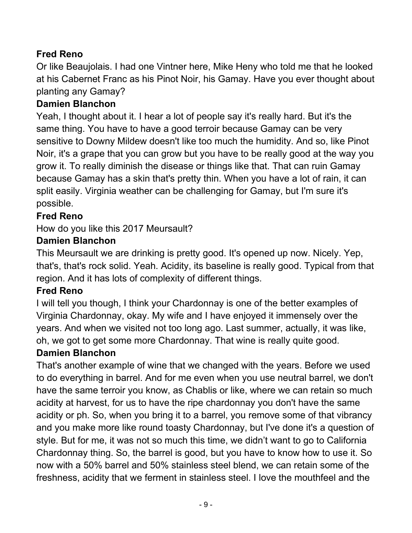# **Fred Reno**

Or like Beaujolais. I had one Vintner here, Mike Heny who told me that he looked at his Cabernet Franc as his Pinot Noir, his Gamay. Have you ever thought about planting any Gamay?

# **Damien Blanchon**

Yeah, I thought about it. I hear a lot of people say it's really hard. But it's the same thing. You have to have a good terroir because Gamay can be very sensitive to Downy Mildew doesn't like too much the humidity. And so, like Pinot Noir, it's a grape that you can grow but you have to be really good at the way you grow it. To really diminish the disease or things like that. That can ruin Gamay because Gamay has a skin that's pretty thin. When you have a lot of rain, it can split easily. Virginia weather can be challenging for Gamay, but I'm sure it's possible.

# **Fred Reno**

How do you like this 2017 Meursault?

# **Damien Blanchon**

This Meursault we are drinking is pretty good. It's opened up now. Nicely. Yep, that's, that's rock solid. Yeah. Acidity, its baseline is really good. Typical from that region. And it has lots of complexity of different things.

#### **Fred Reno**

I will tell you though, I think your Chardonnay is one of the better examples of Virginia Chardonnay, okay. My wife and I have enjoyed it immensely over the years. And when we visited not too long ago. Last summer, actually, it was like, oh, we got to get some more Chardonnay. That wine is really quite good.

# **Damien Blanchon**

That's another example of wine that we changed with the years. Before we used to do everything in barrel. And for me even when you use neutral barrel, we don't have the same terroir you know, as Chablis or like, where we can retain so much acidity at harvest, for us to have the ripe chardonnay you don't have the same acidity or ph. So, when you bring it to a barrel, you remove some of that vibrancy and you make more like round toasty Chardonnay, but I've done it's a question of style. But for me, it was not so much this time, we didn't want to go to California Chardonnay thing. So, the barrel is good, but you have to know how to use it. So now with a 50% barrel and 50% stainless steel blend, we can retain some of the freshness, acidity that we ferment in stainless steel. I love the mouthfeel and the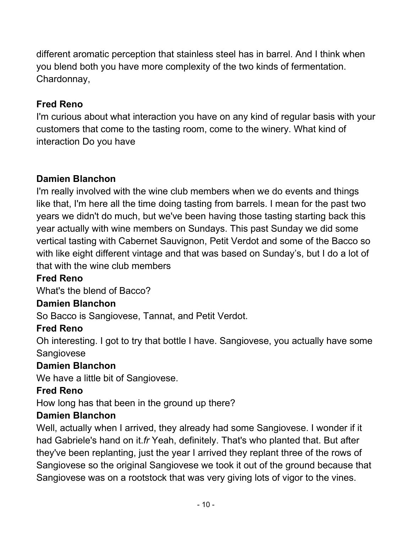different aromatic perception that stainless steel has in barrel. And I think when you blend both you have more complexity of the two kinds of fermentation. Chardonnay,

# **Fred Reno**

I'm curious about what interaction you have on any kind of regular basis with your customers that come to the tasting room, come to the winery. What kind of interaction Do you have

#### **Damien Blanchon**

I'm really involved with the wine club members when we do events and things like that, I'm here all the time doing tasting from barrels. I mean for the past two years we didn't do much, but we've been having those tasting starting back this year actually with wine members on Sundays. This past Sunday we did some vertical tasting with Cabernet Sauvignon, Petit Verdot and some of the Bacco so with like eight different vintage and that was based on Sunday's, but I do a lot of that with the wine club members

#### **Fred Reno**

What's the blend of Bacco?

#### **Damien Blanchon**

So Bacco is Sangiovese, Tannat, and Petit Verdot.

#### **Fred Reno**

Oh interesting. I got to try that bottle I have. Sangiovese, you actually have some **Sangiovese** 

#### **Damien Blanchon**

We have a little bit of Sangiovese.

#### **Fred Reno**

How long has that been in the ground up there?

#### **Damien Blanchon**

Well, actually when I arrived, they already had some Sangiovese. I wonder if it had Gabriele's hand on it.*fr* Yeah, definitely. That's who planted that. But after they've been replanting, just the year I arrived they replant three of the rows of Sangiovese so the original Sangiovese we took it out of the ground because that Sangiovese was on a rootstock that was very giving lots of vigor to the vines.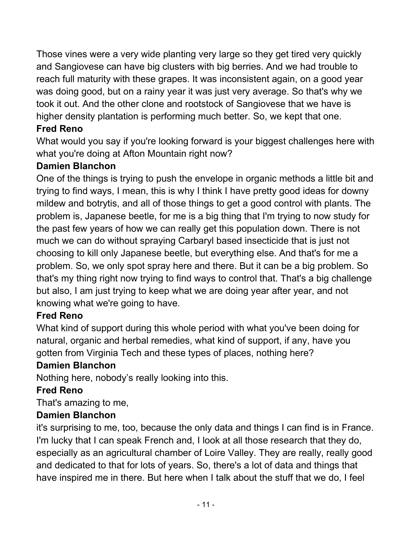Those vines were a very wide planting very large so they get tired very quickly and Sangiovese can have big clusters with big berries. And we had trouble to reach full maturity with these grapes. It was inconsistent again, on a good year was doing good, but on a rainy year it was just very average. So that's why we took it out. And the other clone and rootstock of Sangiovese that we have is higher density plantation is performing much better. So, we kept that one.

# **Fred Reno**

What would you say if you're looking forward is your biggest challenges here with what you're doing at Afton Mountain right now?

#### **Damien Blanchon**

One of the things is trying to push the envelope in organic methods a little bit and trying to find ways, I mean, this is why I think I have pretty good ideas for downy mildew and botrytis, and all of those things to get a good control with plants. The problem is, Japanese beetle, for me is a big thing that I'm trying to now study for the past few years of how we can really get this population down. There is not much we can do without spraying Carbaryl based insecticide that is just not choosing to kill only Japanese beetle, but everything else. And that's for me a problem. So, we only spot spray here and there. But it can be a big problem. So that's my thing right now trying to find ways to control that. That's a big challenge but also, I am just trying to keep what we are doing year after year, and not knowing what we're going to have.

# **Fred Reno**

What kind of support during this whole period with what you've been doing for natural, organic and herbal remedies, what kind of support, if any, have you gotten from Virginia Tech and these types of places, nothing here?

# **Damien Blanchon**

Nothing here, nobody's really looking into this.

#### **Fred Reno**

That's amazing to me,

# **Damien Blanchon**

it's surprising to me, too, because the only data and things I can find is in France. I'm lucky that I can speak French and, I look at all those research that they do, especially as an agricultural chamber of Loire Valley. They are really, really good and dedicated to that for lots of years. So, there's a lot of data and things that have inspired me in there. But here when I talk about the stuff that we do, I feel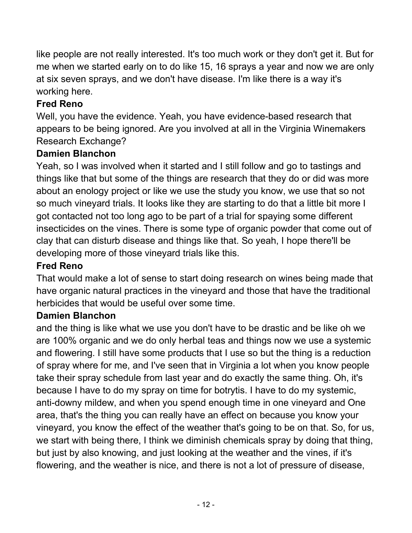like people are not really interested. It's too much work or they don't get it. But for me when we started early on to do like 15, 16 sprays a year and now we are only at six seven sprays, and we don't have disease. I'm like there is a way it's working here.

# **Fred Reno**

Well, you have the evidence. Yeah, you have evidence-based research that appears to be being ignored. Are you involved at all in the Virginia Winemakers Research Exchange?

#### **Damien Blanchon**

Yeah, so I was involved when it started and I still follow and go to tastings and things like that but some of the things are research that they do or did was more about an enology project or like we use the study you know, we use that so not so much vineyard trials. It looks like they are starting to do that a little bit more I got contacted not too long ago to be part of a trial for spaying some different insecticides on the vines. There is some type of organic powder that come out of clay that can disturb disease and things like that. So yeah, I hope there'll be developing more of those vineyard trials like this.

#### **Fred Reno**

That would make a lot of sense to start doing research on wines being made that have organic natural practices in the vineyard and those that have the traditional herbicides that would be useful over some time.

#### **Damien Blanchon**

and the thing is like what we use you don't have to be drastic and be like oh we are 100% organic and we do only herbal teas and things now we use a systemic and flowering. I still have some products that I use so but the thing is a reduction of spray where for me, and I've seen that in Virginia a lot when you know people take their spray schedule from last year and do exactly the same thing. Oh, it's because I have to do my spray on time for botrytis. I have to do my systemic, anti-downy mildew, and when you spend enough time in one vineyard and One area, that's the thing you can really have an effect on because you know your vineyard, you know the effect of the weather that's going to be on that. So, for us, we start with being there, I think we diminish chemicals spray by doing that thing, but just by also knowing, and just looking at the weather and the vines, if it's flowering, and the weather is nice, and there is not a lot of pressure of disease,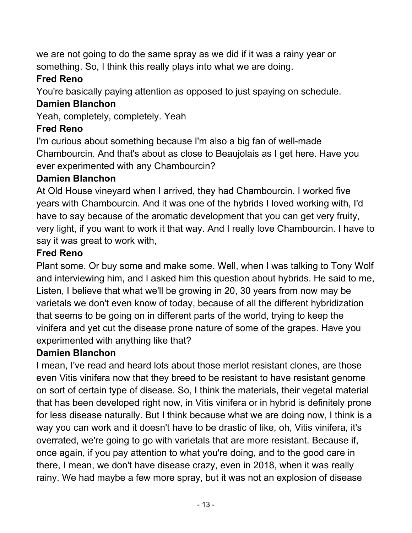we are not going to do the same spray as we did if it was a rainy year or something. So, I think this really plays into what we are doing.

# **Fred Reno**

You're basically paying attention as opposed to just spaying on schedule.

# **Damien Blanchon**

Yeah, completely, completely. Yeah

# **Fred Reno**

I'm curious about something because I'm also a big fan of well-made Chambourcin. And that's about as close to Beaujolais as I get here. Have you ever experimented with any Chambourcin?

# **Damien Blanchon**

At Old House vineyard when I arrived, they had Chambourcin. I worked five years with Chambourcin. And it was one of the hybrids I loved working with, I'd have to say because of the aromatic development that you can get very fruity, very light, if you want to work it that way. And I really love Chambourcin. I have to say it was great to work with,

# **Fred Reno**

Plant some. Or buy some and make some. Well, when I was talking to Tony Wolf and interviewing him, and I asked him this question about hybrids. He said to me, Listen, I believe that what we'll be growing in 20, 30 years from now may be varietals we don't even know of today, because of all the different hybridization that seems to be going on in different parts of the world, trying to keep the vinifera and yet cut the disease prone nature of some of the grapes. Have you experimented with anything like that?

# **Damien Blanchon**

I mean, I've read and heard lots about those merlot resistant clones, are those even Vitis vinifera now that they breed to be resistant to have resistant genome on sort of certain type of disease. So, I think the materials, their vegetal material that has been developed right now, in Vitis vinifera or in hybrid is definitely prone for less disease naturally. But I think because what we are doing now, I think is a way you can work and it doesn't have to be drastic of like, oh, Vitis vinifera, it's overrated, we're going to go with varietals that are more resistant. Because if, once again, if you pay attention to what you're doing, and to the good care in there, I mean, we don't have disease crazy, even in 2018, when it was really rainy. We had maybe a few more spray, but it was not an explosion of disease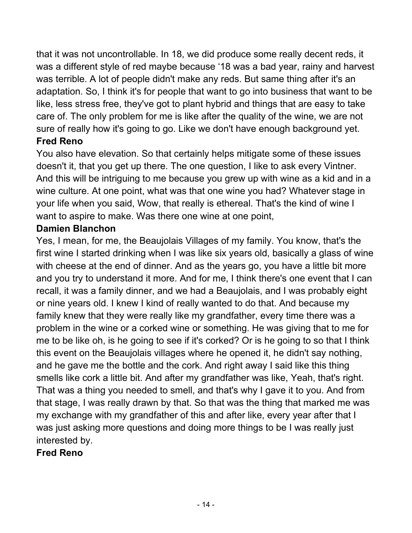that it was not uncontrollable. In 18, we did produce some really decent reds, it was a different style of red maybe because '18 was a bad year, rainy and harvest was terrible. A lot of people didn't make any reds. But same thing after it's an adaptation. So, I think it's for people that want to go into business that want to be like, less stress free, they've got to plant hybrid and things that are easy to take care of. The only problem for me is like after the quality of the wine, we are not sure of really how it's going to go. Like we don't have enough background yet. **Fred Reno** 

You also have elevation. So that certainly helps mitigate some of these issues doesn't it, that you get up there. The one question, I like to ask every Vintner. And this will be intriguing to me because you grew up with wine as a kid and in a wine culture. At one point, what was that one wine you had? Whatever stage in your life when you said, Wow, that really is ethereal. That's the kind of wine I want to aspire to make. Was there one wine at one point,

#### **Damien Blanchon**

Yes, I mean, for me, the Beaujolais Villages of my family. You know, that's the first wine I started drinking when I was like six years old, basically a glass of wine with cheese at the end of dinner. And as the years go, you have a little bit more and you try to understand it more. And for me, I think there's one event that I can recall, it was a family dinner, and we had a Beaujolais, and I was probably eight or nine years old. I knew I kind of really wanted to do that. And because my family knew that they were really like my grandfather, every time there was a problem in the wine or a corked wine or something. He was giving that to me for me to be like oh, is he going to see if it's corked? Or is he going to so that I think this event on the Beaujolais villages where he opened it, he didn't say nothing, and he gave me the bottle and the cork. And right away I said like this thing smells like cork a little bit. And after my grandfather was like, Yeah, that's right. That was a thing you needed to smell, and that's why I gave it to you. And from that stage, I was really drawn by that. So that was the thing that marked me was my exchange with my grandfather of this and after like, every year after that I was just asking more questions and doing more things to be I was really just interested by.

# **Fred Reno**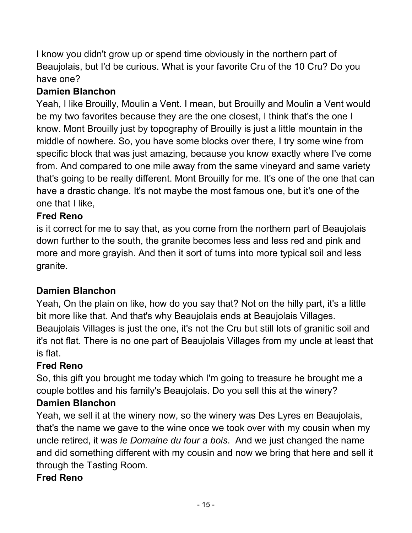I know you didn't grow up or spend time obviously in the northern part of Beaujolais, but I'd be curious. What is your favorite Cru of the 10 Cru? Do you have one?

# **Damien Blanchon**

Yeah, I like Brouilly, Moulin a Vent. I mean, but Brouilly and Moulin a Vent would be my two favorites because they are the one closest, I think that's the one I know. Mont Brouilly just by topography of Brouilly is just a little mountain in the middle of nowhere. So, you have some blocks over there, I try some wine from specific block that was just amazing, because you know exactly where I've come from. And compared to one mile away from the same vineyard and same variety that's going to be really different. Mont Brouilly for me. It's one of the one that can have a drastic change. It's not maybe the most famous one, but it's one of the one that I like,

# **Fred Reno**

is it correct for me to say that, as you come from the northern part of Beaujolais down further to the south, the granite becomes less and less red and pink and more and more grayish. And then it sort of turns into more typical soil and less granite.

# **Damien Blanchon**

Yeah, On the plain on like, how do you say that? Not on the hilly part, it's a little bit more like that. And that's why Beaujolais ends at Beaujolais Villages. Beaujolais Villages is just the one, it's not the Cru but still lots of granitic soil and it's not flat. There is no one part of Beaujolais Villages from my uncle at least that is flat.

# **Fred Reno**

So, this gift you brought me today which I'm going to treasure he brought me a couple bottles and his family's Beaujolais. Do you sell this at the winery?

# **Damien Blanchon**

Yeah, we sell it at the winery now, so the winery was Des Lyres en Beaujolais, that's the name we gave to the wine once we took over with my cousin when my uncle retired, it was *le Domaine du four a bois*. And we just changed the name and did something different with my cousin and now we bring that here and sell it through the Tasting Room.

# **Fred Reno**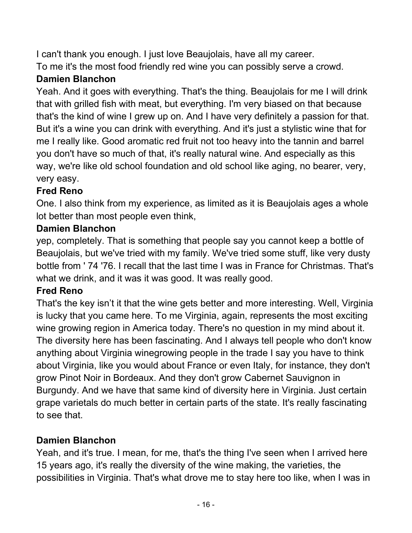I can't thank you enough. I just love Beaujolais, have all my career.

To me it's the most food friendly red wine you can possibly serve a crowd.

# **Damien Blanchon**

Yeah. And it goes with everything. That's the thing. Beaujolais for me I will drink that with grilled fish with meat, but everything. I'm very biased on that because that's the kind of wine I grew up on. And I have very definitely a passion for that. But it's a wine you can drink with everything. And it's just a stylistic wine that for me I really like. Good aromatic red fruit not too heavy into the tannin and barrel you don't have so much of that, it's really natural wine. And especially as this way, we're like old school foundation and old school like aging, no bearer, very, very easy.

# **Fred Reno**

One. I also think from my experience, as limited as it is Beaujolais ages a whole lot better than most people even think,

# **Damien Blanchon**

yep, completely. That is something that people say you cannot keep a bottle of Beaujolais, but we've tried with my family. We've tried some stuff, like very dusty bottle from ' 74 '76. I recall that the last time I was in France for Christmas. That's what we drink, and it was it was good. It was really good.

# **Fred Reno**

That's the key isn't it that the wine gets better and more interesting. Well, Virginia is lucky that you came here. To me Virginia, again, represents the most exciting wine growing region in America today. There's no question in my mind about it. The diversity here has been fascinating. And I always tell people who don't know anything about Virginia winegrowing people in the trade I say you have to think about Virginia, like you would about France or even Italy, for instance, they don't grow Pinot Noir in Bordeaux. And they don't grow Cabernet Sauvignon in Burgundy. And we have that same kind of diversity here in Virginia. Just certain grape varietals do much better in certain parts of the state. It's really fascinating to see that.

# **Damien Blanchon**

Yeah, and it's true. I mean, for me, that's the thing I've seen when I arrived here 15 years ago, it's really the diversity of the wine making, the varieties, the possibilities in Virginia. That's what drove me to stay here too like, when I was in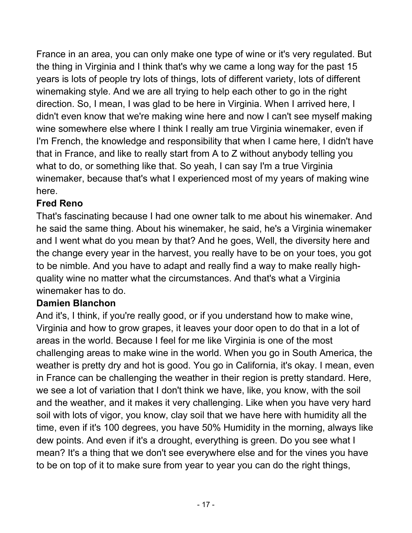France in an area, you can only make one type of wine or it's very regulated. But the thing in Virginia and I think that's why we came a long way for the past 15 years is lots of people try lots of things, lots of different variety, lots of different winemaking style. And we are all trying to help each other to go in the right direction. So, I mean, I was glad to be here in Virginia. When I arrived here, I didn't even know that we're making wine here and now I can't see myself making wine somewhere else where I think I really am true Virginia winemaker, even if I'm French, the knowledge and responsibility that when I came here, I didn't have that in France, and like to really start from A to Z without anybody telling you what to do, or something like that. So yeah, I can say I'm a true Virginia winemaker, because that's what I experienced most of my years of making wine here.

# **Fred Reno**

That's fascinating because I had one owner talk to me about his winemaker. And he said the same thing. About his winemaker, he said, he's a Virginia winemaker and I went what do you mean by that? And he goes, Well, the diversity here and the change every year in the harvest, you really have to be on your toes, you got to be nimble. And you have to adapt and really find a way to make really highquality wine no matter what the circumstances. And that's what a Virginia winemaker has to do.

# **Damien Blanchon**

And it's, I think, if you're really good, or if you understand how to make wine, Virginia and how to grow grapes, it leaves your door open to do that in a lot of areas in the world. Because I feel for me like Virginia is one of the most challenging areas to make wine in the world. When you go in South America, the weather is pretty dry and hot is good. You go in California, it's okay. I mean, even in France can be challenging the weather in their region is pretty standard. Here, we see a lot of variation that I don't think we have, like, you know, with the soil and the weather, and it makes it very challenging. Like when you have very hard soil with lots of vigor, you know, clay soil that we have here with humidity all the time, even if it's 100 degrees, you have 50% Humidity in the morning, always like dew points. And even if it's a drought, everything is green. Do you see what I mean? It's a thing that we don't see everywhere else and for the vines you have to be on top of it to make sure from year to year you can do the right things,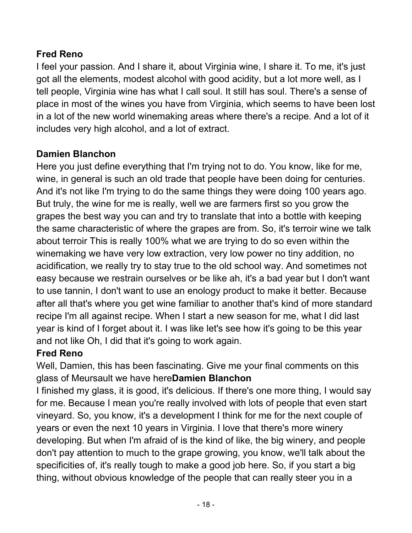# **Fred Reno**

I feel your passion. And I share it, about Virginia wine, I share it. To me, it's just got all the elements, modest alcohol with good acidity, but a lot more well, as I tell people, Virginia wine has what I call soul. It still has soul. There's a sense of place in most of the wines you have from Virginia, which seems to have been lost in a lot of the new world winemaking areas where there's a recipe. And a lot of it includes very high alcohol, and a lot of extract.

# **Damien Blanchon**

Here you just define everything that I'm trying not to do. You know, like for me, wine, in general is such an old trade that people have been doing for centuries. And it's not like I'm trying to do the same things they were doing 100 years ago. But truly, the wine for me is really, well we are farmers first so you grow the grapes the best way you can and try to translate that into a bottle with keeping the same characteristic of where the grapes are from. So, it's terroir wine we talk about terroir This is really 100% what we are trying to do so even within the winemaking we have very low extraction, very low power no tiny addition, no acidification, we really try to stay true to the old school way. And sometimes not easy because we restrain ourselves or be like ah, it's a bad year but I don't want to use tannin, I don't want to use an enology product to make it better. Because after all that's where you get wine familiar to another that's kind of more standard recipe I'm all against recipe. When I start a new season for me, what I did last year is kind of I forget about it. I was like let's see how it's going to be this year and not like Oh, I did that it's going to work again.

# **Fred Reno**

Well, Damien, this has been fascinating. Give me your final comments on this glass of Meursault we have here**Damien Blanchon** 

I finished my glass, it is good, it's delicious. If there's one more thing, I would say for me. Because I mean you're really involved with lots of people that even start vineyard. So, you know, it's a development I think for me for the next couple of years or even the next 10 years in Virginia. I love that there's more winery developing. But when I'm afraid of is the kind of like, the big winery, and people don't pay attention to much to the grape growing, you know, we'll talk about the specificities of, it's really tough to make a good job here. So, if you start a big thing, without obvious knowledge of the people that can really steer you in a